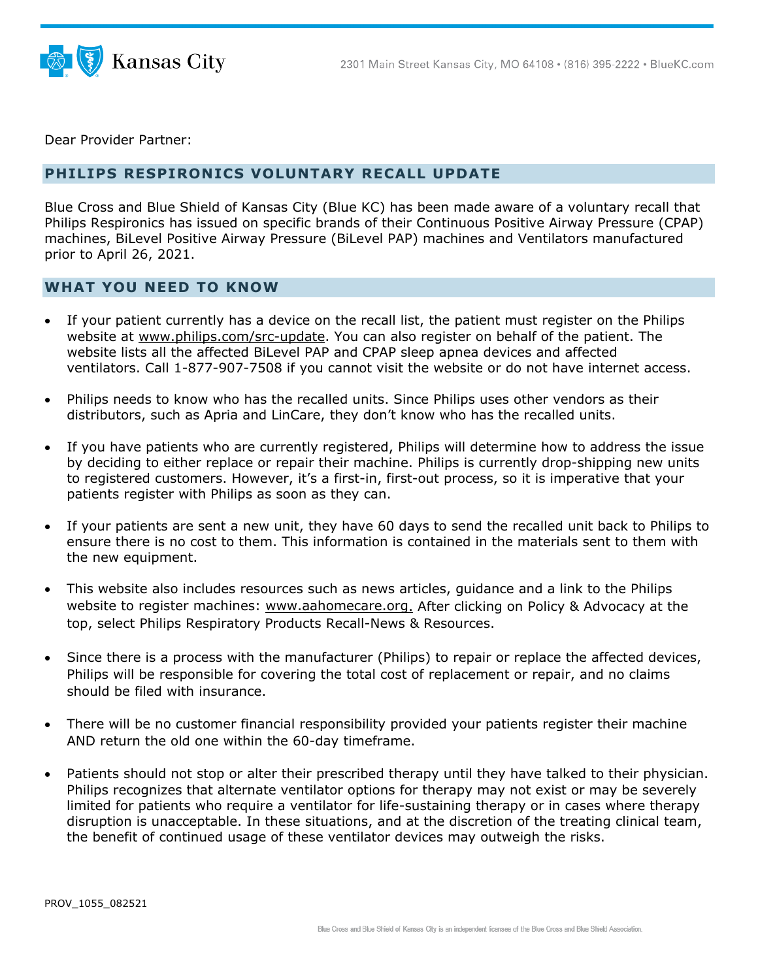



Dear Provider Partner:

## **PHILIPS RESPIRONICS VOLUNTARY RECALL UPDATE**

Blue Cross and Blue Shield of Kansas City (Blue KC) has been made aware of a voluntary recall that Philips Respironics has issued on specific brands of their Continuous Positive Airway Pressure (CPAP) machines, BiLevel Positive Airway Pressure (BiLevel PAP) machines and Ventilators manufactured prior to April 26, 2021.

## **WHAT YOU NEED TO KNOW**

- If your patient currently has a device on the recall list, the patient must register on the Philips website at [www.philips.com/src-update.](http://www.philips.com/src-update) You can also register on behalf of the patient. The website lists all the affected BiLevel PAP and CPAP sleep apnea devices and affected ventilators. Call 1-877-907-7508 if you cannot visit the website or do not have internet access.
- Philips needs to know who has the recalled units. Since Philips uses other vendors as their distributors, such as Apria and LinCare, they don't know who has the recalled units.
- If you have patients who are currently registered, Philips will determine how to address the issue by deciding to either replace or repair their machine. Philips is currently drop-shipping new units to registered customers. However, it's a first-in, first-out process, so it is imperative that your patients register with Philips as soon as they can.
- If your patients are sent a new unit, they have 60 days to send the recalled unit back to Philips to ensure there is no cost to them. This information is contained in the materials sent to them with the new equipment.
- This website also includes resources such as news articles, guidance and a link to the Philips website to register machines: [www.aahomecare.org.](http://www.aahomecare.org/) After clicking on Policy & Advocacy at the top, select Philips Respiratory Products Recall-News & Resources.
- Since there is a process with the manufacturer (Philips) to repair or replace the affected devices, Philips will be responsible for covering the total cost of replacement or repair, and no claims should be filed with insurance.
- There will be no customer financial responsibility provided your patients register their machine AND return the old one within the 60-day timeframe.
- Patients should not stop or alter their prescribed therapy until they have talked to their physician. Philips recognizes that alternate ventilator options for therapy may not exist or may be severely limited for patients who require a ventilator for life-sustaining therapy or in cases where therapy disruption is unacceptable. In these situations, and at the discretion of the treating clinical team, the benefit of continued usage of these ventilator devices may outweigh the risks.